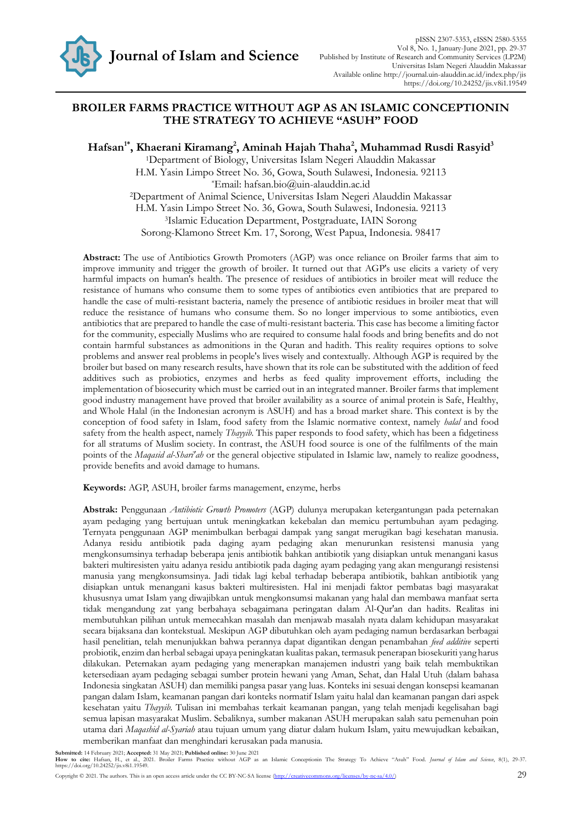

## **BROILER FARMS PRACTICE WITHOUT AGP AS AN ISLAMIC CONCEPTIONIN THE STRATEGY TO ACHIEVE "ASUH" FOOD**

**Hafsan1\*, Khaerani Kiramang<sup>2</sup> , Aminah Hajah Thaha<sup>2</sup> , Muhammad Rusdi Rasyid<sup>3</sup>**

<sup>1</sup>Department of Biology, Universitas Islam Negeri Alauddin Makassar H.M. Yasin Limpo Street No. 36, Gowa, South Sulawesi, Indonesia. 92113 \*Email: [hafsan.bio@uin-alauddin.ac.id](mailto:hafsan.bio@uin-alauddin.ac.id) <sup>2</sup>Department of Animal Science, Universitas Islam Negeri Alauddin Makassar H.M. Yasin Limpo Street No. 36, Gowa, South Sulawesi, Indonesia. 92113

<sup>3</sup>Islamic Education Department, Postgraduate, IAIN Sorong

Sorong-Klamono Street Km. 17, [Sorong,](https://id.wikipedia.org/wiki/Kota_Sorong) West [Papua,](https://id.wikipedia.org/wiki/Papua_Barat) Indonesia. 98417

**Abstract:** The use of Antibiotics Growth Promoters (AGP) was once reliance on Broiler farms that aim to improve immunity and trigger the growth of broiler. It turned out that AGP's use elicits a variety of very harmful impacts on human's health. The presence of residues of antibiotics in broiler meat will reduce the resistance of humans who consume them to some types of antibiotics even antibiotics that are prepared to handle the case of multi-resistant bacteria, namely the presence of antibiotic residues in broiler meat that will reduce the resistance of humans who consume them. So no longer impervious to some antibiotics, even antibiotics that are prepared to handle the case of multi-resistant bacteria. This case has become a limiting factor for the community, especially Muslims who are required to consume halal foods and bring benefits and do not contain harmful substances as admonitions in the Quran and hadith. This reality requires options to solve problems and answer real problems in people's lives wisely and contextually. Although AGP is required by the broiler but based on many research results, have shown that its role can be substituted with the addition of feed additives such as probiotics, enzymes and herbs as feed quality improvement efforts, including the implementation of biosecurity which must be carried out in an integrated manner. Broiler farms that implement good industry management have proved that broiler availability as a source of animal protein is Safe, Healthy, and Whole Halal (in the Indonesian acronym is ASUH) and has a broad market share. This context is by the conception of food safety in Islam, food safety from the Islamic normative context, namely *halal* and food safety from the health aspect, namely *Thayyib*. This paper responds to food safety, which has been a fidgetiness for all stratums of Muslim society. In contrast, the ASUH food source is one of the fulfilments of the main points of the *Maqasid al-Shari'ah* or the general objective stipulated in Islamic law, namely to realize goodness, provide benefits and avoid damage to humans.

**Keywords:** AGP, ASUH, broiler farms management, enzyme, herbs

**Abstrak:** Penggunaan *Antibiotic Growth Promoters* (AGP) dulunya merupakan ketergantungan pada peternakan ayam pedaging yang bertujuan untuk meningkatkan kekebalan dan memicu pertumbuhan ayam pedaging. Ternyata penggunaan AGP menimbulkan berbagai dampak yang sangat merugikan bagi kesehatan manusia. Adanya residu antibiotik pada daging ayam pedaging akan menurunkan resistensi manusia yang mengkonsumsinya terhadap beberapa jenis antibiotik bahkan antibiotik yang disiapkan untuk menangani kasus bakteri multiresisten yaitu adanya residu antibiotik pada daging ayam pedaging yang akan mengurangi resistensi manusia yang mengkonsumsinya. Jadi tidak lagi kebal terhadap beberapa antibiotik, bahkan antibiotik yang disiapkan untuk menangani kasus bakteri multiresisten. Hal ini menjadi faktor pembatas bagi masyarakat khususnya umat Islam yang diwajibkan untuk mengkonsumsi makanan yang halal dan membawa manfaat serta tidak mengandung zat yang berbahaya sebagaimana peringatan dalam Al-Qur'an dan hadits. Realitas ini membutuhkan pilihan untuk memecahkan masalah dan menjawab masalah nyata dalam kehidupan masyarakat secara bijaksana dan kontekstual. Meskipun AGP dibutuhkan oleh ayam pedaging namun berdasarkan berbagai hasil penelitian, telah menunjukkan bahwa perannya dapat digantikan dengan penambahan *feed additive* seperti probiotik, enzim dan herbal sebagai upaya peningkatan kualitas pakan, termasuk penerapan biosekuriti yang harus dilakukan. Peternakan ayam pedaging yang menerapkan manajemen industri yang baik telah membuktikan ketersediaan ayam pedaging sebagai sumber protein hewani yang Aman, Sehat, dan Halal Utuh (dalam bahasa Indonesia singkatan ASUH) dan memiliki pangsa pasar yang luas. Konteks ini sesuai dengan konsepsi keamanan pangan dalam Islam, keamanan pangan dari konteks normatif Islam yaitu halal dan keamanan pangan dari aspek kesehatan yaitu *Thayyib*. Tulisan ini membahas terkait keamanan pangan, yang telah menjadi kegelisahan bagi semua lapisan masyarakat Muslim. Sebaliknya, sumber makanan ASUH merupakan salah satu pemenuhan poin utama dari *Maqashid al-Syariah* atau tujuan umum yang diatur dalam hukum Islam, yaitu mewujudkan kebaikan, memberikan manfaat dan menghindari kerusakan pada manusia.

Submitted: 14 February 2021; Accepted: 31 May 2021; Published online: 30 June 2021<br>How to cite: Hafsan, H., et al., 2021. Broiler Farms Practice without AGP as an Islamic Conceptionin The Strategy To Achieve "Asuh" Food. J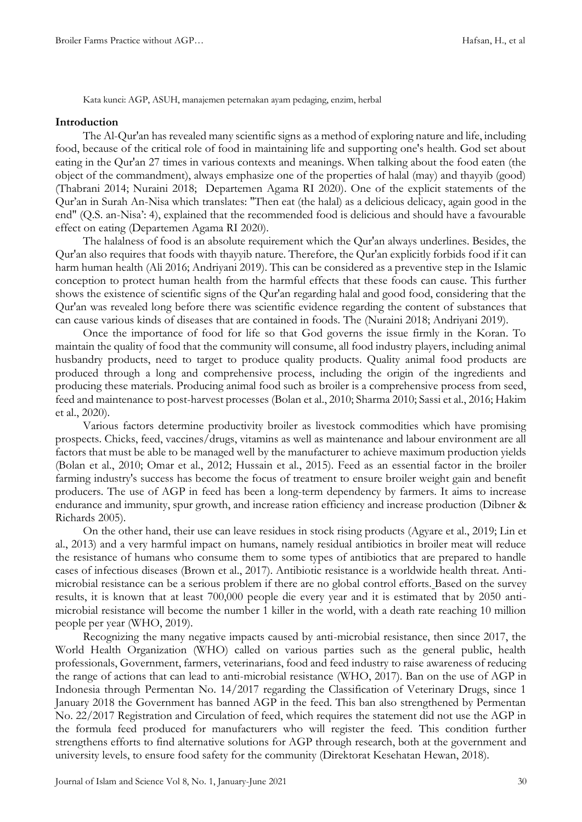Kata kunci: AGP, ASUH, manajemen peternakan ayam pedaging, enzim, herbal

#### **Introduction**

The Al-Qur'an has revealed many scientific signs as a method of exploring nature and life, including food, because of the critical role of food in maintaining life and supporting one's health. God set about eating in the Qur'an 27 times in various contexts and meanings. When talking about the food eaten (the object of the commandment), always emphasize one of the properties of halal (may) and thayyib (good) (Thabrani 2014; Nuraini 2018; Departemen Agama RI 2020). One of the explicit statements of the Qur'an in Surah An-Nisa which translates: "Then eat (the halal) as a delicious delicacy, again good in the end" (Q.S. an-Nisa': 4), explained that the recommended food is delicious and should have a favourable effect on eating (Departemen Agama RI 2020).

The halalness of food is an absolute requirement which the Qur'an always underlines. Besides, the Qur'an also requires that foods with thayyib nature. Therefore, the Qur'an explicitly forbids food if it can harm human health (Ali 2016; Andriyani 2019). This can be considered as a preventive step in the Islamic conception to protect human health from the harmful effects that these foods can cause. This further shows the existence of scientific signs of the Qur'an regarding halal and good food, considering that the Qur'an was revealed long before there was scientific evidence regarding the content of substances that can cause various kinds of diseases that are contained in foods. The (Nuraini 2018; Andriyani 2019).

Once the importance of food for life so that God governs the issue firmly in the Koran. To maintain the quality of food that the community will consume, all food industry players, including animal husbandry products, need to target to produce quality products. Quality animal food products are produced through a long and comprehensive process, including the origin of the ingredients and producing these materials. Producing animal food such as broiler is a comprehensive process from seed, feed and maintenance to post-harvest processes (Bolan et al., 2010; Sharma 2010; Sassi et al., 2016; Hakim et al., 2020).

Various factors determine productivity broiler as livestock commodities which have promising prospects. Chicks, feed, vaccines/drugs, vitamins as well as maintenance and labour environment are all factors that must be able to be managed well by the manufacturer to achieve maximum production yields (Bolan et al., 2010; Omar et al., 2012; Hussain et al., 2015). Feed as an essential factor in the broiler farming industry's success has become the focus of treatment to ensure broiler weight gain and benefit producers. The use of AGP in feed has been a long-term dependency by farmers. It aims to increase endurance and immunity, spur growth, and increase ration efficiency and increase production (Dibner & Richards 2005).

On the other hand, their use can leave residues in stock rising products (Agyare et al., 2019; Lin et al., 2013) and a very harmful impact on humans, namely residual antibiotics in broiler meat will reduce the resistance of humans who consume them to some types of antibiotics that are prepared to handle cases of infectious diseases (Brown et al., 2017). Antibiotic resistance is a worldwide health threat. Antimicrobial resistance can be a serious problem if there are no global control efforts. Based on the survey results, it is known that at least 700,000 people die every year and it is estimated that by 2050 antimicrobial resistance will become the number 1 killer in the world, with a death rate reaching 10 million people per year (WHO, 2019).

Recognizing the many negative impacts caused by anti-microbial resistance, then since 2017, the World Health Organization (WHO) called on various parties such as the general public, health professionals, Government, farmers, veterinarians, food and feed industry to raise awareness of reducing the range of actions that can lead to anti-microbial resistance (WHO, 2017). Ban on the use of AGP in Indonesia through Permentan No. 14/2017 regarding the Classification of Veterinary Drugs, since 1 January 2018 the Government has banned AGP in the feed. This ban also strengthened by Permentan No. 22/2017 Registration and Circulation of feed, which requires the statement did not use the AGP in the formula feed produced for manufacturers who will register the feed. This condition further strengthens efforts to find alternative solutions for AGP through research, both at the government and university levels, to ensure food safety for the community (Direktorat Kesehatan Hewan, 2018).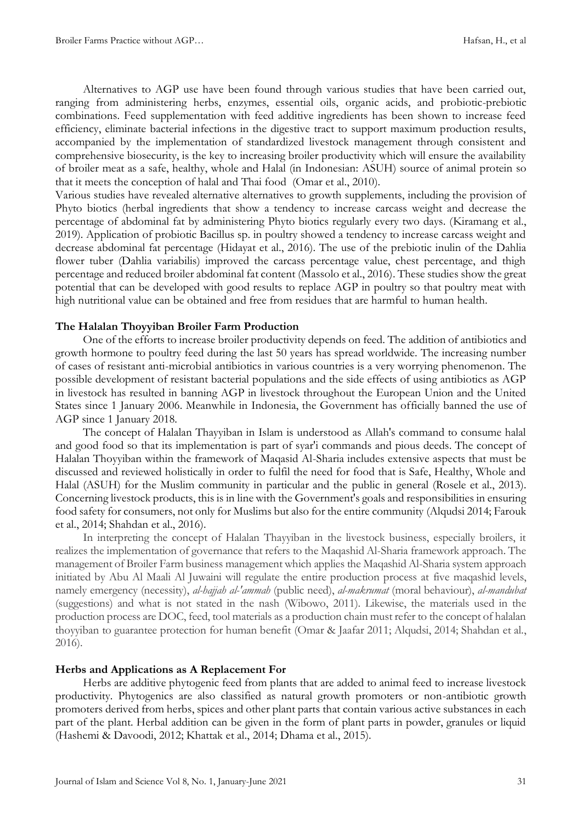Alternatives to AGP use have been found through various studies that have been carried out, ranging from administering herbs, enzymes, essential oils, organic acids, and probiotic-prebiotic combinations. Feed supplementation with feed additive ingredients has been shown to increase feed efficiency, eliminate bacterial infections in the digestive tract to support maximum production results, accompanied by the implementation of standardized livestock management through consistent and comprehensive biosecurity, is the key to increasing broiler productivity which will ensure the availability of broiler meat as a safe, healthy, whole and Halal (in Indonesian: ASUH) source of animal protein so that it meets the conception of halal and Thai food(Omar et al., 2010).

Various studies have revealed alternative alternatives to growth supplements, including the provision of Phyto biotics (herbal ingredients that show a tendency to increase carcass weight and decrease the percentage of abdominal fat by administering Phyto biotics regularly every two days. (Kiramang et al., 2019). Application of probiotic Bacillus sp. in poultry showed a tendency to increase carcass weight and decrease abdominal fat percentage (Hidayat et al., 2016). The use of the prebiotic inulin of the Dahlia flower tuber (Dahlia variabilis) improved the carcass percentage value, chest percentage, and thigh percentage and reduced broiler abdominal fat content (Massolo et al., 2016). These studies show the great potential that can be developed with good results to replace AGP in poultry so that poultry meat with high nutritional value can be obtained and free from residues that are harmful to human health.

## **The Halalan Thoyyiban Broiler Farm Production**

One of the efforts to increase broiler productivity depends on feed. The addition of antibiotics and growth hormone to poultry feed during the last 50 years has spread worldwide. The increasing number of cases of resistant anti-microbial antibiotics in various countries is a very worrying phenomenon. The possible development of resistant bacterial populations and the side effects of using antibiotics as AGP in livestock has resulted in banning AGP in livestock throughout the European Union and the United States since 1 January 2006. Meanwhile in Indonesia, the Government has officially banned the use of AGP since 1 January 2018.

The concept of Halalan Thayyiban in Islam is understood as Allah's command to consume halal and good food so that its implementation is part of syar'i commands and pious deeds. The concept of Halalan Thoyyiban within the framework of Maqasid Al-Sharia includes extensive aspects that must be discussed and reviewed holistically in order to fulfil the need for food that is Safe, Healthy, Whole and Halal (ASUH) for the Muslim community in particular and the public in general (Rosele et al., 2013). Concerning livestock products, this is in line with the Government's goals and responsibilities in ensuring food safety for consumers, not only for Muslims but also for the entire community (Alqudsi 2014; Farouk et al., 2014; Shahdan et al., 2016).

In interpreting the concept of Halalan Thayyiban in the livestock business, especially broilers, it realizes the implementation of governance that refers to the Maqashid Al-Sharia framework approach. The management of Broiler Farm business management which applies the Maqashid Al-Sharia system approach initiated by Abu Al Maali Al Juwaini will regulate the entire production process at five maqashid levels, namely emergency (necessity), *al-hajjah al-'ammah* (public need), *al-makrumat* (moral behaviour), *al-mandubat* (suggestions) and what is not stated in the nash (Wibowo, 2011). Likewise, the materials used in the production process are DOC, feed, tool materials as a production chain must refer to the concept of halalan thoyyiban to guarantee protection for human benefit (Omar & Jaafar 2011; Alqudsi, 2014; Shahdan et al., 2016).

## **Herbs and Applications as A Replacement For**

Herbs are additive phytogenic feed from plants that are added to animal feed to increase livestock productivity. Phytogenics are also classified as natural growth promoters or non-antibiotic growth promoters derived from herbs, spices and other plant parts that contain various active substances in each part of the plant. Herbal addition can be given in the form of plant parts in powder, granules or liquid (Hashemi & Davoodi, 2012; Khattak et al., 2014; Dhama et al., 2015).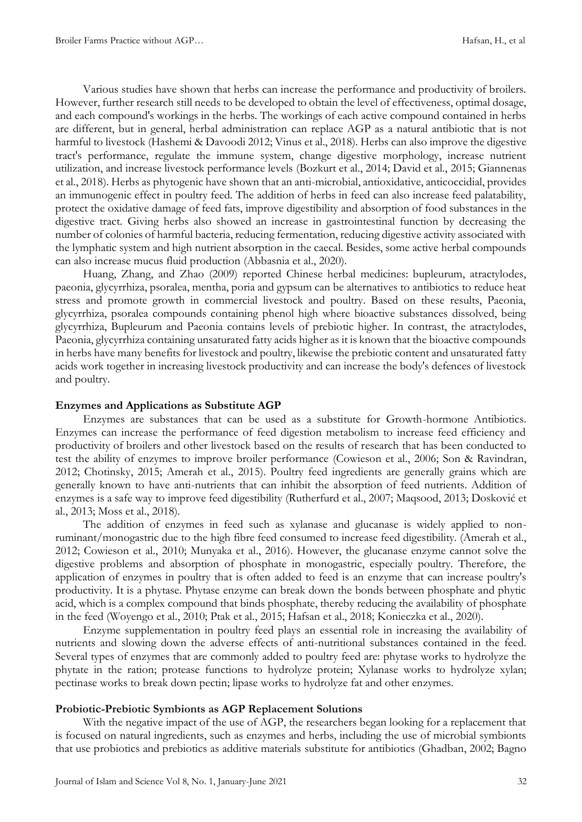Various studies have shown that herbs can increase the performance and productivity of broilers. However, further research still needs to be developed to obtain the level of effectiveness, optimal dosage, and each compound's workings in the herbs. The workings of each active compound contained in herbs are different, but in general, herbal administration can replace AGP as a natural antibiotic that is not harmful to livestock (Hashemi & Davoodi 2012; Vinus et al., 2018). Herbs can also improve the digestive tract's performance, regulate the immune system, change digestive morphology, increase nutrient utilization, and increase livestock performance levels (Bozkurt et al., 2014; David et al., 2015; Giannenas et al., 2018). Herbs as phytogenic have shown that an anti-microbial, antioxidative, anticoccidial, provides an immunogenic effect in poultry feed. The addition of herbs in feed can also increase feed palatability, protect the oxidative damage of feed fats, improve digestibility and absorption of food substances in the digestive tract. Giving herbs also showed an increase in gastrointestinal function by decreasing the number of colonies of harmful bacteria, reducing fermentation, reducing digestive activity associated with the lymphatic system and high nutrient absorption in the caecal. Besides, some active herbal compounds can also increase mucus fluid production (Abbasnia et al., 2020).

Huang, Zhang, and Zhao (2009) reported Chinese herbal medicines: bupleurum, atractylodes, paeonia, glycyrrhiza, psoralea, mentha, poria and gypsum can be alternatives to antibiotics to reduce heat stress and promote growth in commercial livestock and poultry. Based on these results, Paeonia, glycyrrhiza, psoralea compounds containing phenol high where bioactive substances dissolved, being glycyrrhiza, Bupleurum and Paeonia contains levels of prebiotic higher. In contrast, the atractylodes, Paeonia, glycyrrhiza containing unsaturated fatty acids higher as it is known that the bioactive compounds in herbs have many benefits for livestock and poultry, likewise the prebiotic content and unsaturated fatty acids work together in increasing livestock productivity and can increase the body's defences of livestock and poultry.

#### **Enzymes and Applications as Substitute AGP**

Enzymes are substances that can be used as a substitute for Growth-hormone Antibiotics. Enzymes can increase the performance of feed digestion metabolism to increase feed efficiency and productivity of broilers and other livestock based on the results of research that has been conducted to test the ability of enzymes to improve broiler performance (Cowieson et al., 2006; Son & Ravindran, 2012; Chotinsky, 2015; Amerah et al., 2015). Poultry feed ingredients are generally grains which are generally known to have anti-nutrients that can inhibit the absorption of feed nutrients. Addition of enzymes is a safe way to improve feed digestibility (Rutherfurd et al., 2007; Maqsood, 2013; Dosković et al., 2013; Moss et al., 2018).

The addition of enzymes in feed such as xylanase and glucanase is widely applied to nonruminant/monogastric due to the high fibre feed consumed to increase feed digestibility. (Amerah et al., 2012; Cowieson et al., 2010; Munyaka et al., 2016). However, the glucanase enzyme cannot solve the digestive problems and absorption of phosphate in monogastric, especially poultry. Therefore, the application of enzymes in poultry that is often added to feed is an enzyme that can increase poultry's productivity. It is a phytase. Phytase enzyme can break down the bonds between phosphate and phytic acid, which is a complex compound that binds phosphate, thereby reducing the availability of phosphate in the feed (Woyengo et al., 2010; Ptak et al., 2015; Hafsan et al., 2018; Konieczka et al., 2020).

Enzyme supplementation in poultry feed plays an essential role in increasing the availability of nutrients and slowing down the adverse effects of anti-nutritional substances contained in the feed. Several types of enzymes that are commonly added to poultry feed are: phytase works to hydrolyze the phytate in the ration; protease functions to hydrolyze protein; Xylanase works to hydrolyze xylan; pectinase works to break down pectin; lipase works to hydrolyze fat and other enzymes.

## **Probiotic-Prebiotic Symbionts as AGP Replacement Solutions**

With the negative impact of the use of AGP, the researchers began looking for a replacement that is focused on natural ingredients, such as enzymes and herbs, including the use of microbial symbionts that use probiotics and prebiotics as additive materials substitute for antibiotics (Ghadban, 2002; Bagno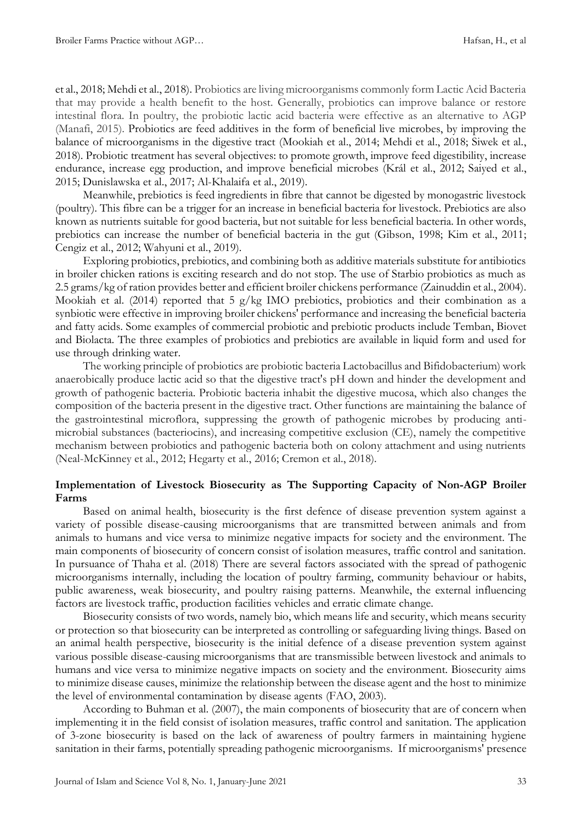et al., 2018; Mehdi et al., 2018). Probiotics are living microorganisms commonly form Lactic Acid Bacteria that may provide a health benefit to the host. Generally, probiotics can improve balance or restore intestinal flora. In poultry, the probiotic lactic acid bacteria were effective as an alternative to AGP (Manafi, 2015). Probiotics are feed additives in the form of beneficial live microbes, by improving the balance of microorganisms in the digestive tract (Mookiah et al., 2014; Mehdi et al., 2018; Siwek et al., 2018). Probiotic treatment has several objectives: to promote growth, improve feed digestibility, increase endurance, increase egg production, and improve beneficial microbes (Král et al., 2012; Saiyed et al., 2015; Dunislawska et al., 2017; Al-Khalaifa et al., 2019).

Meanwhile, prebiotics is feed ingredients in fibre that cannot be digested by monogastric livestock (poultry). This fibre can be a trigger for an increase in beneficial bacteria for livestock. Prebiotics are also known as nutrients suitable for good bacteria, but not suitable for less beneficial bacteria. In other words, prebiotics can increase the number of beneficial bacteria in the gut (Gibson, 1998; Kim et al., 2011; Cengiz et al., 2012; Wahyuni et al., 2019).

Exploring probiotics, prebiotics, and combining both as additive materials substitute for antibiotics in broiler chicken rations is exciting research and do not stop. The use of Starbio probiotics as much as 2.5 grams/kg of ration provides better and efficient broiler chickens performance (Zainuddin et al., 2004). Mookiah et al. (2014) reported that 5 g/kg IMO prebiotics, probiotics and their combination as a synbiotic were effective in improving broiler chickens' performance and increasing the beneficial bacteria and fatty acids. Some examples of commercial probiotic and prebiotic products include Temban, Biovet and Biolacta. The three examples of probiotics and prebiotics are available in liquid form and used for use through drinking water.

The working principle of probiotics are probiotic bacteria Lactobacillus and Bifidobacterium) work anaerobically produce lactic acid so that the digestive tract's pH down and hinder the development and growth of pathogenic bacteria. Probiotic bacteria inhabit the digestive mucosa, which also changes the composition of the bacteria present in the digestive tract. Other functions are maintaining the balance of the gastrointestinal microflora, suppressing the growth of pathogenic microbes by producing antimicrobial substances (bacteriocins), and increasing competitive exclusion (CE), namely the competitive mechanism between probiotics and pathogenic bacteria both on colony attachment and using nutrients (Neal-McKinney et al., 2012; Hegarty et al., 2016; Cremon et al., 2018).

# **Implementation of Livestock Biosecurity as The Supporting Capacity of Non-AGP Broiler Farms**

Based on animal health, biosecurity is the first defence of disease prevention system against a variety of possible disease-causing microorganisms that are transmitted between animals and from animals to humans and vice versa to minimize negative impacts for society and the environment. The main components of biosecurity of concern consist of isolation measures, traffic control and sanitation. In pursuance of Thaha et al. (2018) There are several factors associated with the spread of pathogenic microorganisms internally, including the location of poultry farming, community behaviour or habits, public awareness, weak biosecurity, and poultry raising patterns. Meanwhile, the external influencing factors are livestock traffic, production facilities vehicles and erratic climate change.

Biosecurity consists of two words, namely bio, which means life and security, which means security or protection so that biosecurity can be interpreted as controlling or safeguarding living things. Based on an animal health perspective, biosecurity is the initial defence of a disease prevention system against various possible disease-causing microorganisms that are transmissible between livestock and animals to humans and vice versa to minimize negative impacts on society and the environment. Biosecurity aims to minimize disease causes, minimize the relationship between the disease agent and the host to minimize the level of environmental contamination by disease agents (FAO, 2003).

According to Buhman et al. (2007), the main components of biosecurity that are of concern when implementing it in the field consist of isolation measures, traffic control and sanitation. The application of 3-zone biosecurity is based on the lack of awareness of poultry farmers in maintaining hygiene sanitation in their farms, potentially spreading pathogenic microorganisms. If microorganisms' presence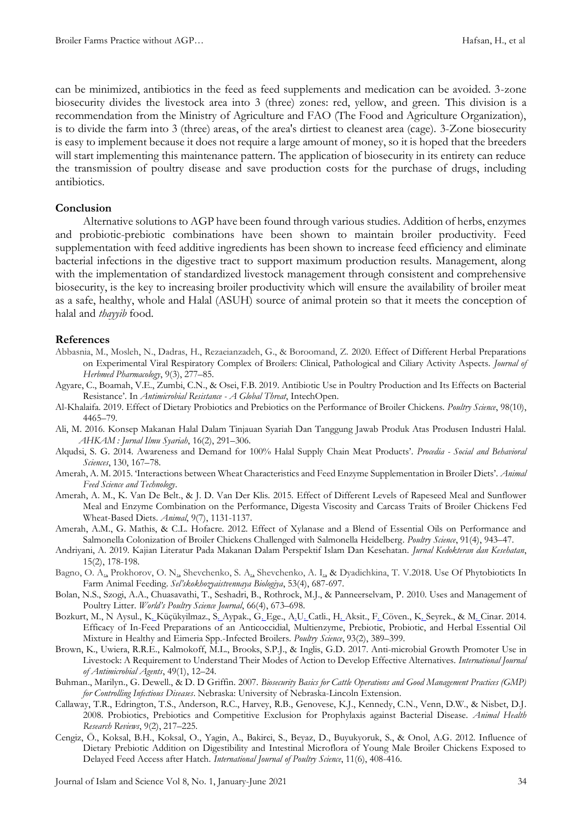can be minimized, antibiotics in the feed as feed supplements and medication can be avoided. 3-zone biosecurity divides the livestock area into 3 (three) zones: red, yellow, and green. This division is a recommendation from the Ministry of Agriculture and FAO (The Food and Agriculture Organization), is to divide the farm into 3 (three) areas, of the area's dirtiest to cleanest area (cage). 3-Zone biosecurity is easy to implement because it does not require a large amount of money, so it is hoped that the breeders will start implementing this maintenance pattern. The application of biosecurity in its entirety can reduce the transmission of poultry disease and save production costs for the purchase of drugs, including antibiotics.

#### **Conclusion**

Alternative solutions to AGP have been found through various studies. Addition of herbs, enzymes and probiotic-prebiotic combinations have been shown to maintain broiler productivity. Feed supplementation with feed additive ingredients has been shown to increase feed efficiency and eliminate bacterial infections in the digestive tract to support maximum production results. Management, along with the implementation of standardized livestock management through consistent and comprehensive biosecurity, is the key to increasing broiler productivity which will ensure the availability of broiler meat as a safe, healthy, whole and Halal (ASUH) source of animal protein so that it meets the conception of halal and *thayyib* food.

#### **References**

- Abbasnia, M., Mosleh, N., Dadras, H., Rezaeianzadeh, G., & Boroomand, Z. 2020. Effect of Different Herbal Preparations on Experimental Viral Respiratory Complex of Broilers: Clinical, Pathological and Ciliary Activity Aspects. *Journal of Herbmed Pharmacology*, 9(3), 277–85.
- Agyare, C., Boamah, V.E., Zumbi, C.N., & Osei, F.B. 2019. Antibiotic Use in Poultry Production and Its Effects on Bacterial Resistance'. In *Antimicrobial Resistance - A Global Threat*, IntechOpen.
- Al-Khalaifa. 2019. Effect of Dietary Probiotics and Prebiotics on the Performance of Broiler Chickens. *Poultry Science*, 98(10), 4465–79.
- Ali, M. 2016. Konsep Makanan Halal Dalam Tinjauan Syariah Dan Tanggung Jawab Produk Atas Produsen Industri Halal. *AHKAM : Jurnal Ilmu Syariah*, 16(2), 291–306.
- Alqudsi, S. G. 2014. Awareness and Demand for 100% Halal Supply Chain Meat Products'. *Procedia - Social and Behavioral Sciences*, 130, 167–78.
- Amerah, A. M. 2015. 'Interactions between Wheat Characteristics and Feed Enzyme Supplementation in Broiler Diets'. *Animal Feed Science and Technology*.
- Amerah, A. M., K. Van De Belt., & J. D. Van Der Klis. 2015. Effect of Different Levels of Rapeseed Meal and Sunflower Meal and Enzyme Combination on the Performance, Digesta Viscosity and Carcass Traits of Broiler Chickens Fed Wheat-Based Diets. *Animal*, 9(7), 1131-1137.
- Amerah, A.M., G. Mathis, & C.L. Hofacre. 2012. Effect of Xylanase and a Blend of Essential Oils on Performance and Salmonella Colonization of Broiler Chickens Challenged with Salmonella Heidelberg. *Poultry Science*, 91(4), 943–47.
- Andriyani, A. 2019. Kajian Literatur Pada Makanan Dalam Perspektif Islam Dan Kesehatan. *Jurnal Kedokteran dan Kesehatan*, 15(2), 178-198.
- [Bagno, O. A.,](https://www.cabdirect.org/cabdirect/search/?q=au%3a%22Bagno%2c+O.+A.%22) [Prokhorov, O. N.,](https://www.cabdirect.org/cabdirect/search/?q=au%3a%22Prokhorov%2c+O.+N.%22) [Shevchenko, S. A.,](https://www.cabdirect.org/cabdirect/search/?q=au%3a%22Shevchenko%2c+S.+A.%22) [Shevchenko, A. I.,](https://www.cabdirect.org/cabdirect/search/?q=au%3a%22Shevchenko%2c+A.+I.%22) & [Dyadichkina, T. V.2](https://www.cabdirect.org/cabdirect/search/?q=au%3a%22Dyadichkina%2c+T.+V.%22)018. Use Of Phytobioticts In Farm Animal Feeding. *Sel'skokhozyaistvennaya Biologiya*, 53(4), 687-697.
- Bolan, N.S., Szogi, A.A., Chuasavathi, T., Seshadri, B., Rothrock, M.J., & Panneerselvam, P. 2010. Uses and Management of Poultry Litter. *World's Poultry Science Journal*, 66(4), 673–698.
- [Bozkurt,](https://pubmed.ncbi.nlm.nih.gov/?term=Bozkurt+M&cauthor_id=24570461) M., [N Aysul.,](https://pubmed.ncbi.nlm.nih.gov/?term=Aysul+N&cauthor_id=24570461) [K. Küçükyilmaz.,](https://pubmed.ncbi.nlm.nih.gov/?term=K%C3%BC%C3%A7%C3%BCkyilmaz+K&cauthor_id=24570461) [S. Aypak.,](https://pubmed.ncbi.nlm.nih.gov/?term=Aypak+S&cauthor_id=24570461) [G. Ege.,](https://pubmed.ncbi.nlm.nih.gov/?term=Ege+G&cauthor_id=24570461) [A.U. Catli.,](https://pubmed.ncbi.nlm.nih.gov/?term=Catli+AU&cauthor_id=24570461) [H. Aksit.,](https://pubmed.ncbi.nlm.nih.gov/?term=Aksit+H&cauthor_id=24570461) [F. Cöven.](https://pubmed.ncbi.nlm.nih.gov/?term=C%C3%B6ven+F&cauthor_id=24570461)[, K. Seyrek.,](https://pubmed.ncbi.nlm.nih.gov/?term=Seyrek+K&cauthor_id=24570461) & [M. Cinar.](https://pubmed.ncbi.nlm.nih.gov/?term=Cinar+M&cauthor_id=24570461) 2014. Efficacy of In-Feed Preparations of an Anticoccidial, Multienzyme, Prebiotic, Probiotic, and Herbal Essential Oil Mixture in Healthy and Eimeria Spp.-Infected Broilers. *Poultry Science*, 93(2), 389–399.
- Brown, K., Uwiera, R.R.E., Kalmokoff, M.L., Brooks, S.P.J., & Inglis, G.D. 2017. Anti-microbial Growth Promoter Use in Livestock: A Requirement to Understand Their Modes of Action to Develop Effective Alternatives. *International Journal of Antimicrobial Agents*, 49(1), 12–24.
- Buhman., Marilyn., G. Dewell., & D. D Griffin. 2007. *Biosecurity Basics for Cattle Operations and Good Management Practices (GMP) for Controlling Infectious Diseases*. Nebraska: University of Nebraska-Lincoln Extension.
- Callaway, T.R., Edrington, T.S., Anderson, R.C., Harvey, R.B., Genovese, K.J., Kennedy, C.N., Venn, D.W., & Nisbet, D.J. 2008. Probiotics, Prebiotics and Competitive Exclusion for Prophylaxis against Bacterial Disease. *Animal Health Research Reviews*, 9(2), 217–225.
- Cengiz, Ö., Koksal, B.H., Koksal, O., Yagin, A., Bakirci, S., Beyaz, D., Buyukyoruk, S., & Onol, A.G. 2012. Influence of Dietary Prebiotic Addition on Digestibility and Intestinal Microflora of Young Male Broiler Chickens Exposed to Delayed Feed Access after Hatch. *International Journal of Poultry Science*, 11(6), 408-416.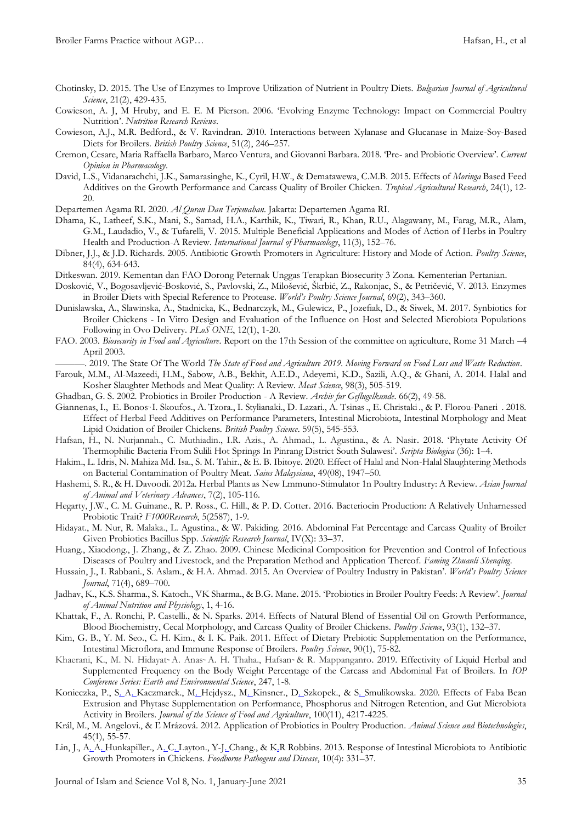- Chotinsky, D. 2015. The Use of Enzymes to Improve Utilization of Nutrient in Poultry Diets. *Bulgarian Journal of Agricultural Science*, 21(2), 429-435.
- Cowieson, A. J, M Hruby, and E. E. M Pierson. 2006. 'Evolving Enzyme Technology: Impact on Commercial Poultry Nutrition'. *Nutrition Research Reviews*.
- Cowieson, A.J., M.R. Bedford., & V. Ravindran. 2010. Interactions between Xylanase and Glucanase in Maize-Soy-Based Diets for Broilers. *British Poultry Science*, 51(2), 246–257.
- Cremon, Cesare, Maria Raffaella Barbaro, Marco Ventura, and Giovanni Barbara. 2018. 'Pre- and Probiotic Overview'. *Current Opinion in Pharmacology*.
- David, L.S., Vidanarachchi, J.K., Samarasinghe, K., Cyril, H.W., & Dematawewa, C.M.B. 2015. Effects of *Moringa* Based Feed Additives on the Growth Performance and Carcass Quality of Broiler Chicken. *Tropical Agricultural Research*, 24(1), 12- 20.
- Departemen Agama RI. 2020. *Al Quran Dan Terjemahan*. Jakarta: Departemen Agama RI.
- Dhama, K., Latheef, S.K., Mani, S., Samad, H.A., Karthik, K., Tiwari, R., Khan, R.U., Alagawany, M., Farag, M.R., Alam, G.M., Laudadio, V., & Tufarelli, V. 2015. Multiple Beneficial Applications and Modes of Action of Herbs in Poultry Health and Production-A Review. *International Journal of Pharmacology*, 11(3), 152–76.
- Dibner, J.J., & J.D. Richards. 2005. Antibiotic Growth Promoters in Agriculture: History and Mode of Action. *Poultry Science*, 84(4), 634-643.
- Ditkeswan. 2019. Kementan dan FAO Dorong Peternak Unggas Terapkan Biosecurity 3 Zona. Kementerian Pertanian.
- Dosković, V., Bogosavljević-Bosković, S., Pavlovski, Z., Milošević, Škrbić, Z., Rakonjac, S., & Petričević, V. 2013. Enzymes in Broiler Diets with Special Reference to Protease. *World's Poultry Science Journal*, 69(2), 343–360.
- Dunislawska, A., Slawinska, A., Stadnicka, K., Bednarczyk, M., Gulewicz, P., Jozefiak, D., & Siwek, M. 2017. Synbiotics for Broiler Chickens - In Vitro Design and Evaluation of the Influence on Host and Selected Microbiota Populations Following in Ovo Delivery. *PLoS ONE*, 12(1), 1-20.
- FAO. 2003. *Biosecurity in Food and Agriculture*. Report on the 17th Session of the committee on agriculture, Rome 31 March –4 April 2003.
- ———. 2019. The State Of The World *The State of Food and Agriculture 2019. Moving Forward on Food Loss and Waste Reduction*.
- Farouk, M.M., Al-Mazeedi, H.M., Sabow, A.B., Bekhit, A.E.D., Adeyemi, K.D., Sazili, A.Q., & Ghani, A. 2014. Halal and Kosher Slaughter Methods and Meat Quality: A Review. *Meat Science*, 98(3), 505-519.
- Ghadban, G. S. 2002. Probiotics in Broiler Production A Review. *Archiv fur Geflugelkunde*. 66(2), 49-58.
- [Giannenas,](https://pubmed.ncbi.nlm.nih.gov/?term=Giannenas+I&cauthor_id=29873243) I., [E. Bonos](https://pubmed.ncbi.nlm.nih.gov/?term=Bonos+E&cauthor_id=29873243)<sup>.</sup> [I. Skoufos.](https://pubmed.ncbi.nlm.nih.gov/?term=Skoufos+I&cauthor_id=29873243), [A. Tzora.](https://pubmed.ncbi.nlm.nih.gov/?term=Tzora+A&cauthor_id=29873243), [I. Stylianaki.,](https://pubmed.ncbi.nlm.nih.gov/?term=Stylianaki+I&cauthor_id=29873243) [D. Lazari.](https://pubmed.ncbi.nlm.nih.gov/?term=Lazari+D&cauthor_id=29873243), [A. Tsinas.](https://pubmed.ncbi.nlm.nih.gov/?term=Tsinas+A&cauthor_id=29873243)[, E. Christaki](https://pubmed.ncbi.nlm.nih.gov/?term=Christaki+E&cauthor_id=29873243)., & [P. Florou-Paneri](https://pubmed.ncbi.nlm.nih.gov/?term=Florou-Paneri+P&cauthor_id=29873243) . 2018. Effect of Herbal Feed Additives on Performance Parameters, Intestinal Microbiota, Intestinal Morphology and Meat Lipid Oxidation of Broiler Chickens. *British Poultry Science*. 59(5), 545-553.
- Hafsan, H., N. Nurjannah., C. Muthiadin., I.R. Azis., A. Ahmad., L. Agustina., & A. Nasir. 2018. 'Phytate Activity Of Thermophilic Bacteria From Sulili Hot Springs In Pinrang District South Sulawesi'. *Scripta Biologica* (36): 1–4.
- Hakim., L. Idris, N. Mahiza Md. Isa., S. M. Tahir., & E. B. Ibitoye. 2020. Effect of Halal and Non-Halal Slaughtering Methods on Bacterial Contamination of Poultry Meat. *Sains Malaysiana*, 49(08), 1947–50.
- Hashemi, S. R., & H. Davoodi. 2012a. Herbal Plants as New Lmmuno-Stimulator 1n Poultry Industry: A Review. *Asian Journal of Animal and Veterinary Advances*, 7(2), 105-116.
- Hegarty, J.W., C. M. Guinane., R. P. Ross., C. Hill., & P. D. Cotter. 2016. Bacteriocin Production: A Relatively Unharnessed Probiotic Trait? *F1000Research*, 5(2587), 1-9.
- Hidayat., M. Nur, R. Malaka., L. Agustina., & W. Pakiding. 2016. Abdominal Fat Percentage and Carcass Quality of Broiler Given Probiotics Bacillus Spp. *Scientific Research Journal*, IV(X): 33–37.
- Huang., Xiaodong., J. Zhang., & Z. Zhao. 2009. Chinese Medicinal Composition for Prevention and Control of Infectious Diseases of Poultry and Livestock, and the Preparation Method and Application Thereof. *Faming Zhuanli Shenqing*.
- Hussain, J., I. Rabbani., S. Aslam., & H.A. Ahmad. 2015. An Overview of Poultry Industry in Pakistan'. *World's Poultry Science Journal*, 71(4), 689–700.
- Jadhav, K., K.S. Sharma., S. Katoch., VK Sharma., & B.G. Mane. 2015. 'Probiotics in Broiler Poultry Feeds: A Review'. *Journal of Animal Nutrition and Physiology*, 1, 4-16.
- Khattak, F., A. Ronchi, P. Castelli., & N. Sparks. 2014. Effects of Natural Blend of Essential Oil on Growth Performance, Blood Biochemistry, Cecal Morphology, and Carcass Quality of Broiler Chickens. *Poultry Science*, 93(1), 132–37.
- Kim, G. B., Y. M. Seo., C. H. Kim., & I. K. Paik. 2011. Effect of Dietary Prebiotic Supplementation on the Performance, Intestinal Microflora, and Immune Response of Broilers. *Poultry Science*, 90(1), 75-82.
- Khaerani, K., M. N. Hidayat<sup>.,</sup> A. Anas<sup>.,</sup> A. H. Thaha., Hafsan<sup>.,</sup> & R. Mappanganro. 2019. Effectivity of Liquid Herbal and Supplemented Frequency on the Body Weight Percentage of the Carcass and Abdominal Fat of Broilers. In *IOP Conference Series: Earth and Environmental Science*, 247, 1-8.
- [Konieczka,](https://onlinelibrary.wiley.com/action/doSearch?ContribAuthorStored=Konieczka%2C+Pawe%C5%82) P., S. A. [Kaczmarek.](https://onlinelibrary.wiley.com/action/doSearch?ContribAuthorStored=Kaczmarek%2C+Sebastian+Andrzej), M. [Hejdysz.](https://onlinelibrary.wiley.com/action/doSearch?ContribAuthorStored=Hejdysz%2C+Marcin), M. [Kinsner.](https://onlinelibrary.wiley.com/action/doSearch?ContribAuthorStored=Kinsner%2C+Misza), D. [Szkopek.](https://onlinelibrary.wiley.com/action/doSearch?ContribAuthorStored=Szkopek%2C+Dominika), & S. [Smulikowska.](https://onlinelibrary.wiley.com/action/doSearch?ContribAuthorStored=Smulikowska%2C+Stefania) 2020. Effects of Faba Bean Extrusion and Phytase Supplementation on Performance, Phosphorus and Nitrogen Retention, and Gut Microbiota Activity in Broilers. *Journal of the Science of Food and Agriculture*, 100(11), 4217-4225.
- Král, M., M. Angelovi., & Ľ Mrázová. 2012. Application of Probiotics in Poultry Production. *Animal Science and Biotechnologies*, 45(1), 55-57.
- [Lin,](https://pubmed.ncbi.nlm.nih.gov/?term=Lin+J&cauthor_id=23461609) J.[, A. A. Hunkapiller.,](https://pubmed.ncbi.nlm.nih.gov/?term=Hunkapiller+AA&cauthor_id=23461609) [A. C. Layton.](https://pubmed.ncbi.nlm.nih.gov/?term=Layton+AC&cauthor_id=23461609)[, Y-J. Chang.,](https://pubmed.ncbi.nlm.nih.gov/?term=Chang+YJ&cauthor_id=23461609) & [K.R Robbins.](https://pubmed.ncbi.nlm.nih.gov/?term=Robbins+KR&cauthor_id=23461609) 2013. Response of Intestinal Microbiota to Antibiotic Growth Promoters in Chickens. *Foodborne Pathogens and Disease*, 10(4): 331–37.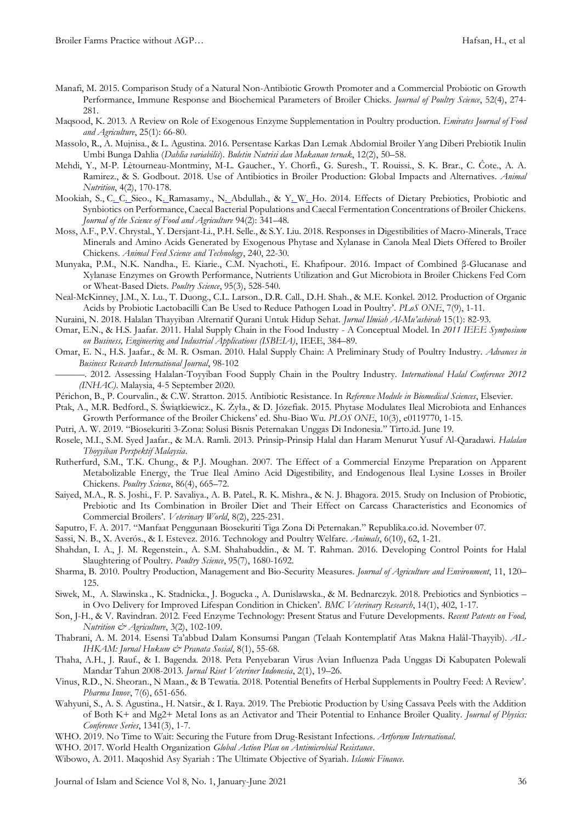- Manafi, M. 2015. Comparison Study of a Natural Non-Antibiotic Growth Promoter and a Commercial Probiotic on Growth Performance, Immune Response and Biochemical Parameters of Broiler Chicks. *Journal of Poultry Science*, 52(4), 274- 281.
- Maqsood, K. 2013. A Review on Role of Exogenous Enzyme Supplementation in Poultry production. *Emirates Journal of Food and Agriculture*, 25(1): 66-80.
- Massolo, R., A. Mujnisa., & L. Agustina. 2016. Persentase Karkas Dan Lemak Abdomial Broiler Yang Diberi Prebiotik Inulin Umbi Bunga Dahlia (*Dahlia variabilis*). *Buletin Nutrisi dan Makanan ternak*, 12(2), 50–58.
- Mehdi, Y., M-P. Lètourneau-Montminy, M-L. Gaucher., Y. Chorfi., G. Suresh., T. Rouissi., S. K. Brar., C. Ĉote., A. A. Ramirez., & S. Godbout. 2018. Use of Antibiotics in Broiler Production: Global Impacts and Alternatives. *Animal Nutrition*, 4(2), 170-178.
- [Mookiah,](https://pubmed.ncbi.nlm.nih.gov/?term=Mookiah+S&cauthor_id=24037967) S., [C. C. Sieo.,](https://pubmed.ncbi.nlm.nih.gov/?term=Sieo+CC&cauthor_id=24037967) [K. Ramasamy.](https://pubmed.ncbi.nlm.nih.gov/?term=Ramasamy+K&cauthor_id=24037967), [N. Abdullah.](https://pubmed.ncbi.nlm.nih.gov/?term=Abdullah+N&cauthor_id=24037967), & [Y. W. Ho.](https://pubmed.ncbi.nlm.nih.gov/?term=Ho+YW&cauthor_id=24037967) 2014. Effects of Dietary Prebiotics, Probiotic and Synbiotics on Performance, Caecal Bacterial Populations and Caecal Fermentation Concentrations of Broiler Chickens. *Journal of the Science of Food and Agriculture* 94(2): 341–48.
- Moss, A.F., P.V. Chrystal., Y. Dersjant-Li., P.H. Selle., & S.Y. Liu. 2018. Responses in Digestibilities of Macro-Minerals, Trace Minerals and Amino Acids Generated by Exogenous Phytase and Xylanase in Canola Meal Diets Offered to Broiler Chickens. *Animal Feed Science and Technology*, 240, 22-30.
- Munyaka, P.M., N.K. Nandha., E. Kiarie., C.M. Nyachoti., E. Khafipour. 2016. Impact of Combined β-Glucanase and Xylanase Enzymes on Growth Performance, Nutrients Utilization and Gut Microbiota in Broiler Chickens Fed Corn or Wheat-Based Diets. *Poultry Science*, 95(3), 528-540.
- Neal-McKinney, J.M., X. Lu., T. Duong., C.L. Larson., D.R. Call., D.H. Shah., & M.E. Konkel. 2012. Production of Organic Acids by Probiotic Lactobacilli Can Be Used to Reduce Pathogen Load in Poultry'. *PLoS ONE*, 7(9), 1-11.

Nuraini, N. 2018. Halalan Thayyiban Alternatif Qurani Untuk Hidup Sehat. *Jurnal Ilmiah Al-Mu'ashirah* 15(1): 82-93.

- Omar, E.N., & H.S. Jaafar. 2011. Halal Supply Chain in the Food Industry A Conceptual Model. In *2011 IEEE Symposium on Business, Engineering and Industrial Applications (ISBEIA)*, IEEE, 384–89.
- Omar, E. N., H.S. Jaafar., & M. R. Osman. 2010. Halal Supply Chain: A Preliminary Study of Poultry Industry. *Advances in Business Research International Journal*, 98-102
	- ———. 2012. Assessing Halalan-Toyyiban Food Supply Chain in the Poultry Industry. *International Halal Conference 2012 (INHAC)*. Malaysia, 4-5 September 2020.
- Périchon, B., P. Courvalin., & C.W. Stratton. 2015. Antibiotic Resistance. In *Reference Module in Biomedical Sciences*, Elsevier.
- Ptak, A., M.R. Bedford., S. Świątkiewicz., K. Żyła., & D. Józefiak. 2015. Phytase Modulates Ileal Microbiota and Enhances Growth Performance of the Broiler Chickens' ed. Shu-Biao Wu. *PLOS ONE*, 10(3), e0119770, 1-15.
- Putri, A. W. 2019. "Biosekuriti 3-Zona: Solusi Bisnis Peternakan Unggas Di Indonesia." Tirto.id. June 19.
- Rosele, M.I., S.M. Syed Jaafar., & M.A. Ramli. 2013. Prinsip-Prinsip Halal dan Haram Menurut Yusuf Al-Qaradawi. *Halalan Thoyyiban Perspektif Malaysia*.
- Rutherfurd, S.M., T.K. Chung., & P.J. Moughan. 2007. The Effect of a Commercial Enzyme Preparation on Apparent Metabolizable Energy, the True Ileal Amino Acid Digestibility, and Endogenous Ileal Lysine Losses in Broiler Chickens. *Poultry Science*, 86(4), 665–72.
- [Saiyed,](https://www.ncbi.nlm.nih.gov/pubmed/?term=Saiyed%20MA%5BAuthor%5D&cauthor=true&cauthor_uid=27047078) M.A., [R. S. Joshi.,](https://www.ncbi.nlm.nih.gov/pubmed/?term=Joshi%20RS%5BAuthor%5D&cauthor=true&cauthor_uid=27047078) [F. P. Savaliya.](https://www.ncbi.nlm.nih.gov/pubmed/?term=Savaliya%20FP%5BAuthor%5D&cauthor=true&cauthor_uid=27047078), [A. B.](https://www.ncbi.nlm.nih.gov/pubmed/?term=Patel%20AB%5BAuthor%5D&cauthor=true&cauthor_uid=27047078) Patel., [R. K. Mishra.](https://www.ncbi.nlm.nih.gov/pubmed/?term=Mishra%20RK%5BAuthor%5D&cauthor=true&cauthor_uid=27047078), & [N. J. Bhagora.](https://www.ncbi.nlm.nih.gov/pubmed/?term=Bhagora%20NJ%5BAuthor%5D&cauthor=true&cauthor_uid=27047078) 2015. Study on Inclusion of Probiotic, Prebiotic and Its Combination in Broiler Diet and Their Effect on Carcass Characteristics and Economics of Commercial Broilers'. *Veterinary World*, 8(2), 225-231.
- Saputro, F. A. 2017. "Manfaat Penggunaan Biosekuriti Tiga Zona Di Peternakan." Republika.co.id. November 07.
- Sassi, N. B., X. Averós., & I. Estevez. 2016. Technology and Poultry Welfare. *Animals*, 6(10), 62, 1-21.
- Shahdan, I. A., J. M. Regenstein., A. S.M. Shahabuddin., & M. T. Rahman. 2016. Developing Control Points for Halal Slaughtering of Poultry. *Poultry Science*, 95(7), 1680-1692.
- Sharma, B. 2010. Poultry Production, Management and Bio-Security Measures. *Journal of Agriculture and Environment*, 11, 120– 125.
- [Siwek,](https://pubmed.ncbi.nlm.nih.gov/?term=Siwek+M&cauthor_id=30558599) M., [A. Slawinska](https://pubmed.ncbi.nlm.nih.gov/?term=Slawinska+A&cauthor_id=30558599) ., [K. Stadnicka.,](https://pubmed.ncbi.nlm.nih.gov/?term=Stadnicka+K&cauthor_id=30558599) [J. Bogucka](https://pubmed.ncbi.nlm.nih.gov/?term=Bogucka+J&cauthor_id=30558599) ., A. Dunislawska., & [M. Bednarczyk.](https://pubmed.ncbi.nlm.nih.gov/?term=Bednarczyk+M&cauthor_id=30558599) 2018. Prebiotics and Synbiotics in Ovo Delivery for Improved Lifespan Condition in Chicken'. *BMC Veterinary Research*, 14(1), 402, 1-17.
- Son, J-H., & V. Ravindran. 2012. Feed Enzyme Technology: Present Status and Future Developments. *Recent Patents on Food, Nutrition & Agriculture*, 3(2), 102-109.
- Thabrani, A. M. 2014. Esensi Ta'abbud Dalam Konsumsi Pangan (Telaah Kontemplatif Atas Makna Halâl-Thayyib). *AL-IHKAM: Jurnal Hukum & Pranata Sosial*, 8(1), 55-68.
- Thaha, A.H., J. Rauf., & I. Bagenda. 2018. Peta Penyebaran Virus Avian Influenza Pada Unggas Di Kabupaten Polewali Mandar Tahun 2008-2013. *Jurnal Riset Veteriner Indonesia*, 2(1), 19–26.
- Vinus, R.D., N. Sheoran., N Maan., & B Tewatia. 2018. Potential Benefits of Herbal Supplements in Poultry Feed: A Review'. *Pharma Innov*, 7(6), 651-656.
- Wahyuni, S., A. S. Agustina., H. Natsir., & I. Raya. 2019. The Prebiotic Production by Using Cassava Peels with the Addition of Both K+ and Mg2+ Metal Ions as an Activator and Their Potential to Enhance Broiler Quality. *Journal of Physics: Conference Series*, 1341(3), 1-7.
- WHO. 2019. No Time to Wait: Securing the Future from Drug-Resistant Infections. *Artforum International*.

WHO. 2017. World Health Organization *Global Action Plan on Antimicrobial Resistance*.

Wibowo, A. 2011. Maqoshid Asy Syariah : The Ultimate Objective of Syariah. *Islamic Finance*.